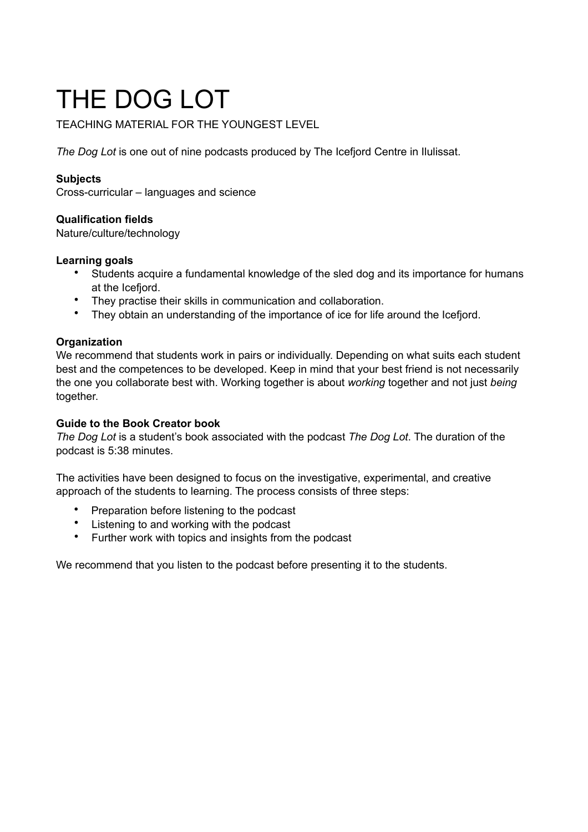# THE DOG LOT

TEACHING MATERIAL FOR THE YOUNGEST LEVEL

*The Dog Lot* is one out of nine podcasts produced by The Icefjord Centre in Ilulissat.

## **Subjects**

Cross-curricular – languages and science

## **Qualification fields**

Nature/culture/technology

## **Learning goals**

- Students acquire a fundamental knowledge of the sled dog and its importance for humans at the Icefjord.
- They practise their skills in communication and collaboration.
- They obtain an understanding of the importance of ice for life around the Icefjord.

## **Organization**

We recommend that students work in pairs or individually. Depending on what suits each student best and the competences to be developed. Keep in mind that your best friend is not necessarily the one you collaborate best with. Working together is about *working* together and not just *being* together.

## **Guide to the Book Creator book**

*The Dog Lot* is a student's book associated with the podcast *The Dog Lot*. The duration of the podcast is 5:38 minutes.

The activities have been designed to focus on the investigative, experimental, and creative approach of the students to learning. The process consists of three steps:

- Preparation before listening to the podcast
- Listening to and working with the podcast
- Further work with topics and insights from the podcast

We recommend that you listen to the podcast before presenting it to the students.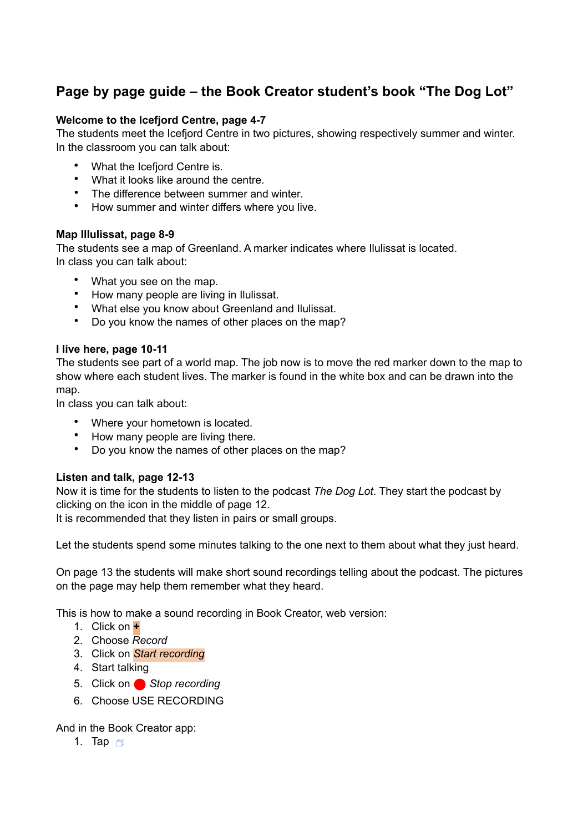## **Page by page guide – the Book Creator student's book "The Dog Lot"**

## **Welcome to the Icefjord Centre, page 4-7**

The students meet the Icefjord Centre in two pictures, showing respectively summer and winter. In the classroom you can talk about:

- What the Icefjord Centre is.
- What it looks like around the centre.
- The difference between summer and winter.
- How summer and winter differs where you live.

## **Map Illulissat, page 8-9**

The students see a map of Greenland. A marker indicates where Ilulissat is located. In class you can talk about:

- What you see on the map.
- How many people are living in Ilulissat.
- What else you know about Greenland and Ilulissat.
- Do you know the names of other places on the map?

## **I live here, page 10-11**

The students see part of a world map. The job now is to move the red marker down to the map to show where each student lives. The marker is found in the white box and can be drawn into the map.

In class you can talk about:

- Where your hometown is located.
- How many people are living there.
- Do you know the names of other places on the map?

## **Listen and talk, page 12-13**

Now it is time for the students to listen to the podcast *The Dog Lot*. They start the podcast by clicking on the icon in the middle of page 12.

It is recommended that they listen in pairs or small groups.

Let the students spend some minutes talking to the one next to them about what they just heard.

On page 13 the students will make short sound recordings telling about the podcast. The pictures on the page may help them remember what they heard.

This is how to make a sound recording in Book Creator, web version:

- 1. Click on **+**
- 2. Choose *Record*
- 3. Click on *Start recording*
- 4. Start talking
- 5. Click on Stop recording
- 6. Choose USE RECORDING

And in the Book Creator app:

1. Tap  $\Box$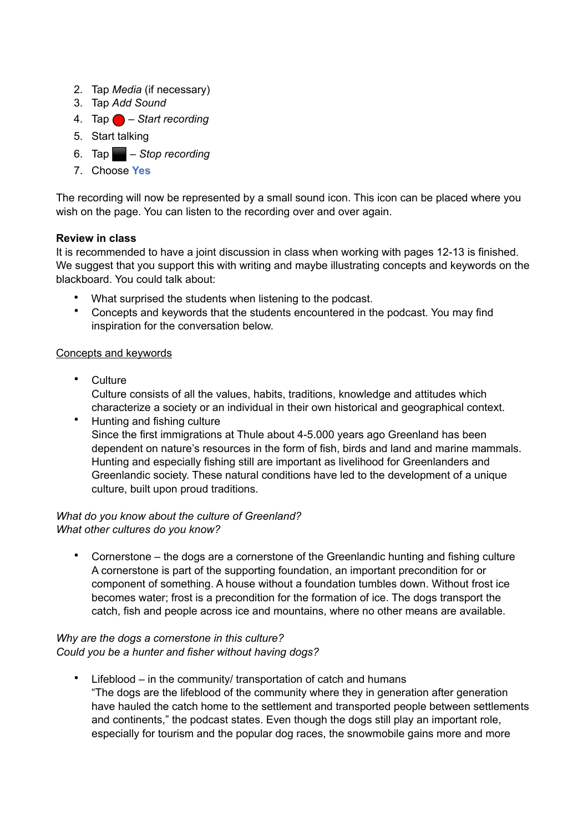- 2. Tap *Media* (if necessary)
- 3. Tap *Add Sound*
- 4. Tap ⬤ *Start recording*
- 5. Start talking
- 6. Tap ⬛ *Stop recording*
- 7. Choose **Yes**

The recording will now be represented by a small sound icon. This icon can be placed where you wish on the page. You can listen to the recording over and over again.

## **Review in class**

It is recommended to have a joint discussion in class when working with pages 12-13 is finished. We suggest that you support this with writing and maybe illustrating concepts and keywords on the blackboard. You could talk about:

- What surprised the students when listening to the podcast.
- Concepts and keywords that the students encountered in the podcast. You may find inspiration for the conversation below.

## Concepts and keywords

- Culture Culture consists of all the values, habits, traditions, knowledge and attitudes which characterize a society or an individual in their own historical and geographical context.
- Hunting and fishing culture Since the first immigrations at Thule about 4-5.000 years ago Greenland has been dependent on nature's resources in the form of fish, birds and land and marine mammals. Hunting and especially fishing still are important as livelihood for Greenlanders and Greenlandic society. These natural conditions have led to the development of a unique culture, built upon proud traditions.

## *What do you know about the culture of Greenland? What other cultures do you know?*

• Cornerstone – the dogs are a cornerstone of the Greenlandic hunting and fishing culture A cornerstone is part of the supporting foundation, an important precondition for or component of something. A house without a foundation tumbles down. Without frost ice becomes water; frost is a precondition for the formation of ice. The dogs transport the catch, fish and people across ice and mountains, where no other means are available.

## *Why are the dogs a cornerstone in this culture? Could you be a hunter and fisher without having dogs?*

• Lifeblood – in the community/ transportation of catch and humans "The dogs are the lifeblood of the community where they in generation after generation have hauled the catch home to the settlement and transported people between settlements and continents," the podcast states. Even though the dogs still play an important role, especially for tourism and the popular dog races, the snowmobile gains more and more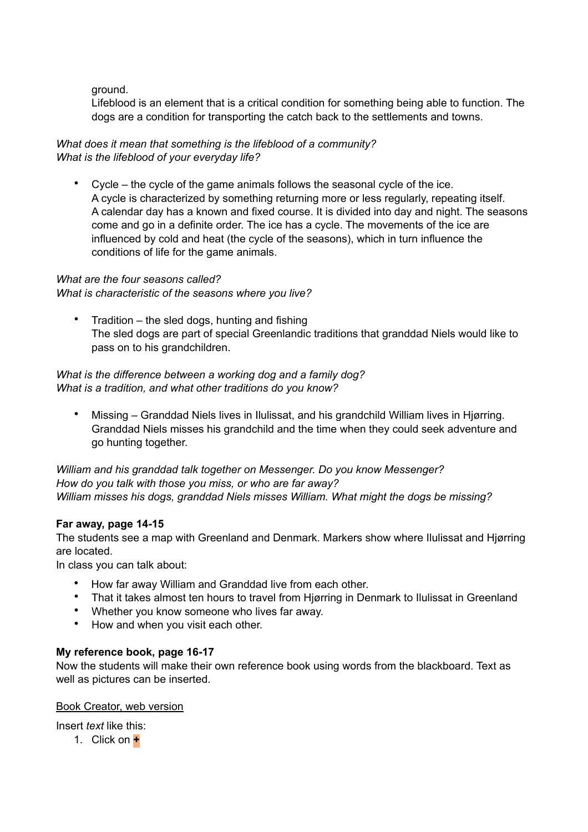ground.

Lifeblood is an element that is a critical condition for something being able to function. The dogs are a condition for transporting the catch back to the settlements and towns.

*What does it mean that something is the lifeblood of a community? What is the lifeblood of your everyday life?*

• Cycle – the cycle of the game animals follows the seasonal cycle of the ice. A cycle is characterized by something returning more or less regularly, repeating itself. A calendar day has a known and fixed course. It is divided into day and night. The seasons come and go in a definite order. The ice has a cycle. The movements of the ice are influenced by cold and heat (the cycle of the seasons), which in turn influence the conditions of life for the game animals.

## *What are the four seasons called?*

*What is characteristic of the seasons where you live?*

• Tradition – the sled dogs, hunting and fishing The sled dogs are part of special Greenlandic traditions that granddad Niels would like to pass on to his grandchildren.

*What is the difference between a working dog and a family dog? What is a tradition, and what other traditions do you know?*

• Missing – Granddad Niels lives in Ilulissat, and his grandchild William lives in Hjørring. Granddad Niels misses his grandchild and the time when they could seek adventure and go hunting together.

*William and his granddad talk together on Messenger. Do you know Messenger? How do you talk with those you miss, or who are far away? William misses his dogs, granddad Niels misses William. What might the dogs be missing?*

## **Far away, page 14-15**

The students see a map with Greenland and Denmark. Markers show where Ilulissat and Hjørring are located.

In class you can talk about:

- How far away William and Granddad live from each other.
- That it takes almost ten hours to travel from Hjørring in Denmark to Ilulissat in Greenland
- Whether you know someone who lives far away.
- How and when you visit each other.

## **My reference book, page 16-17**

Now the students will make their own reference book using words from the blackboard. Text as well as pictures can be inserted.

## Book Creator, web version

Insert *text* like this:

1. Click on **+**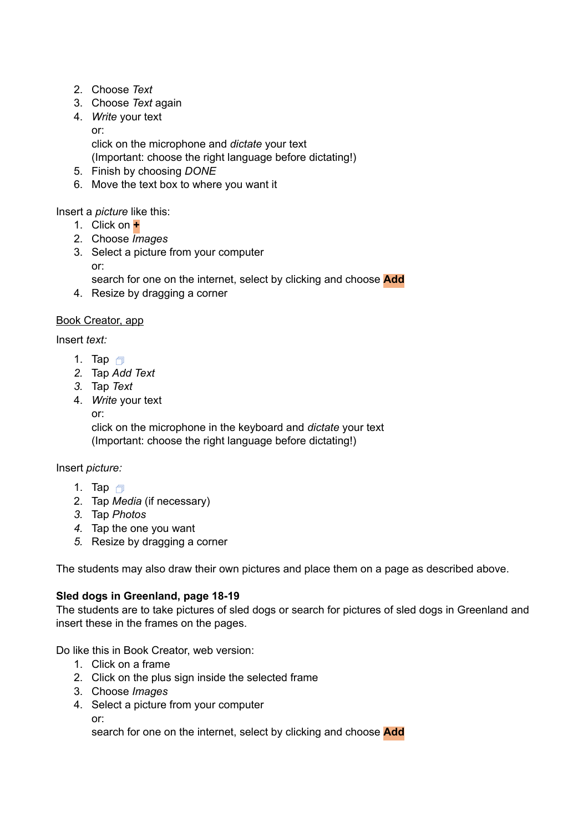- 2. Choose *Text*
- 3. Choose *Text* again
- 4. *Write* your text or: click on the microphone and *dictate* your text (Important: choose the right language before dictating!)
- 5. Finish by choosing *DONE*
- 6. Move the text box to where you want it

Insert a *picture* like this:

- 1. Click on **+**
- 2. Choose *Images*
- 3. Select a picture from your computer or:

search for one on the internet, select by clicking and choose **Add**

4. Resize by dragging a corner

## Book Creator, app

Insert *text:*

- 1. Tap  $\Box$
- *2.* Tap *Add Text*
- *3.* Tap *Text*
- 4. *Write* your text

or:

click on the microphone in the keyboard and *dictate* your text (Important: choose the right language before dictating!)

Insert *picture:*

- 1. Tap  $\Box$
- 2. Tap *Media* (if necessary)
- *3.* Tap *Photos*
- *4.* Tap the one you want
- *5.* Resize by dragging a corner

The students may also draw their own pictures and place them on a page as described above.

## **Sled dogs in Greenland, page 18-19**

The students are to take pictures of sled dogs or search for pictures of sled dogs in Greenland and insert these in the frames on the pages.

Do like this in Book Creator, web version:

- 1. Click on a frame
- 2. Click on the plus sign inside the selected frame
- 3. Choose *Images*
- 4. Select a picture from your computer or: search for one on the internet, select by clicking and choose **Add**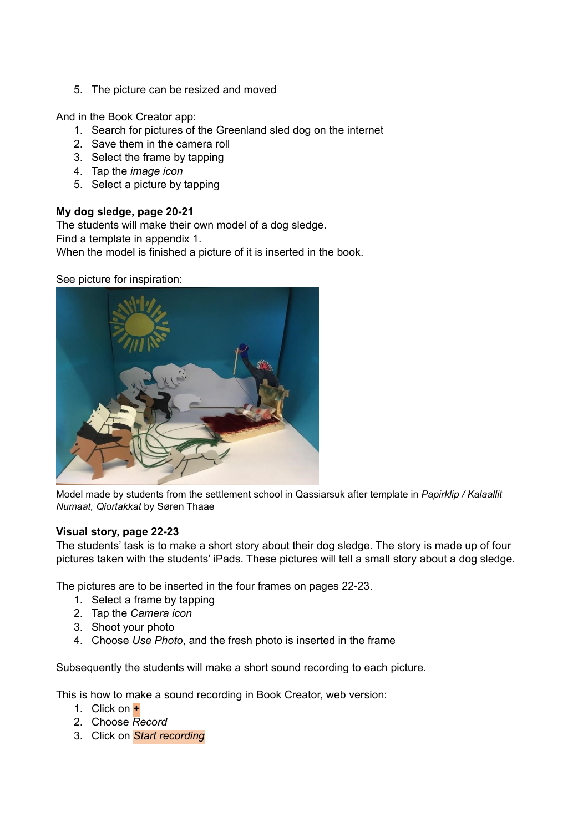5. The picture can be resized and moved

And in the Book Creator app:

- 1. Search for pictures of the Greenland sled dog on the internet
- 2. Save them in the camera roll
- 3. Select the frame by tapping
- 4. Tap the *image icon*
- 5. Select a picture by tapping

## **My dog sledge, page 20-21**

The students will make their own model of a dog sledge. Find a template in appendix 1. When the model is finished a picture of it is inserted in the book.

See picture for inspiration:



Model made by students from the settlement school in Qassiarsuk after template in *Papirklip / Kalaallit Numaat, Qiortakkat* by Søren Thaae

## **Visual story, page 22-23**

The students' task is to make a short story about their dog sledge. The story is made up of four pictures taken with the students' iPads. These pictures will tell a small story about a dog sledge.

The pictures are to be inserted in the four frames on pages 22-23.

- 1. Select a frame by tapping
- 2. Tap the *Camera icon*
- 3. Shoot your photo
- 4. Choose *Use Photo*, and the fresh photo is inserted in the frame

Subsequently the students will make a short sound recording to each picture.

This is how to make a sound recording in Book Creator, web version:

- 1. Click on **+**
- 2. Choose *Record*
- 3. Click on *Start recording*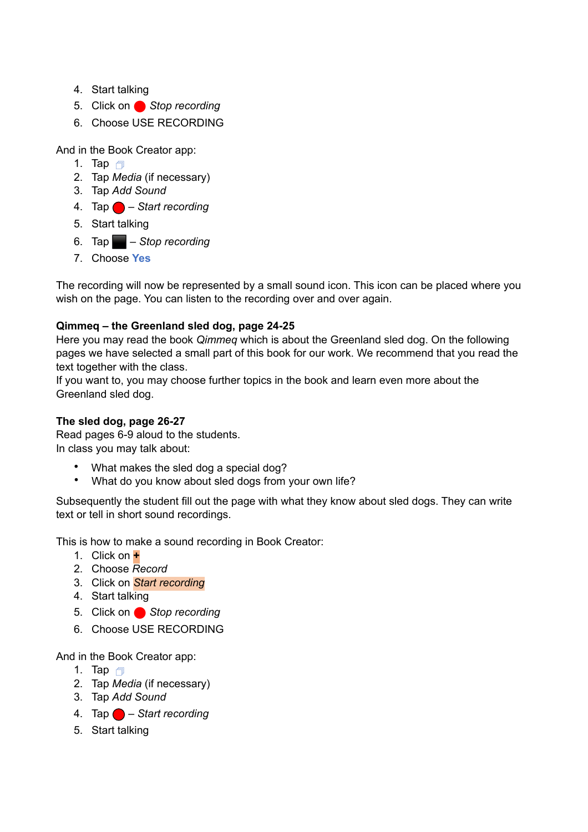- 4. Start talking
- 5. Click on **Stop recording**
- 6. Choose USE RECORDING

And in the Book Creator app:

- 1. Tap  $\Box$
- 2. Tap *Media* (if necessary)
- 3. Tap *Add Sound*
- 4. Tap ⬤ *Start recording*
- 5. Start talking
- 6. Tap ⬛ *Stop recording*
- 7. Choose **Yes**

The recording will now be represented by a small sound icon. This icon can be placed where you wish on the page. You can listen to the recording over and over again.

## **Qimmeq – the Greenland sled dog, page 24-25**

Here you may read the book *Qimmeq* which is about the Greenland sled dog. On the following pages we have selected a small part of this book for our work. We recommend that you read the text together with the class.

If you want to, you may choose further topics in the book and learn even more about the Greenland sled dog.

## **The sled dog, page 26-27**

Read pages 6-9 aloud to the students. In class you may talk about:

- What makes the sled dog a special dog?
- What do you know about sled dogs from your own life?

Subsequently the student fill out the page with what they know about sled dogs. They can write text or tell in short sound recordings.

This is how to make a sound recording in Book Creator:

- 1. Click on **+**
- 2. Choose *Record*
- 3. Click on *Start recording*
- 4. Start talking
- 5. Click on **Stop recording**
- 6. Choose USE RECORDING

And in the Book Creator app:

- 1. Tap  $\Box$
- 2. Tap *Media* (if necessary)
- 3. Tap *Add Sound*
- 4. Tap ⬤ *Start recording*
- 5. Start talking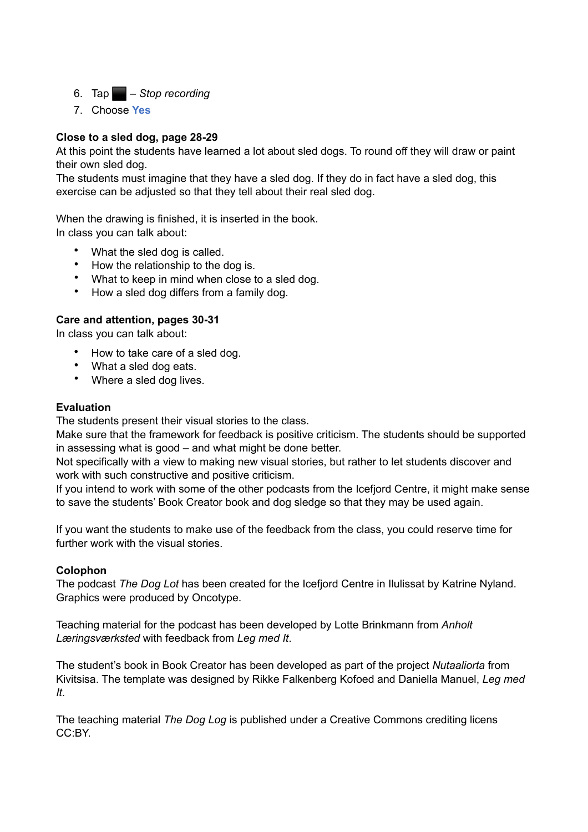- 6. Tap ⬛ *Stop recording*
- 7. Choose **Yes**

## **Close to a sled dog, page 28-29**

At this point the students have learned a lot about sled dogs. To round off they will draw or paint their own sled dog.

The students must imagine that they have a sled dog. If they do in fact have a sled dog, this exercise can be adjusted so that they tell about their real sled dog.

When the drawing is finished, it is inserted in the book. In class you can talk about:

- What the sled dog is called.
- How the relationship to the dog is.
- What to keep in mind when close to a sled dog.
- How a sled dog differs from a family dog.

## **Care and attention, pages 30-31**

In class you can talk about:

- How to take care of a sled dog.
- What a sled dog eats.
- Where a sled dog lives.

## **Evaluation**

The students present their visual stories to the class.

Make sure that the framework for feedback is positive criticism. The students should be supported in assessing what is good – and what might be done better.

Not specifically with a view to making new visual stories, but rather to let students discover and work with such constructive and positive criticism.

If you intend to work with some of the other podcasts from the Icefjord Centre, it might make sense to save the students' Book Creator book and dog sledge so that they may be used again.

If you want the students to make use of the feedback from the class, you could reserve time for further work with the visual stories.

## **Colophon**

The podcast *The Dog Lot* has been created for the Icefjord Centre in Ilulissat by Katrine Nyland. Graphics were produced by Oncotype.

Teaching material for the podcast has been developed by Lotte Brinkmann from *Anholt Læringsværksted* with feedback from *Leg med It*.

The student's book in Book Creator has been developed as part of the project *Nutaaliorta* from Kivitsisa. The template was designed by Rikke Falkenberg Kofoed and Daniella Manuel, *Leg med It*.

The teaching material *The Dog Log* is published under a Creative Commons crediting licens CC:BY.